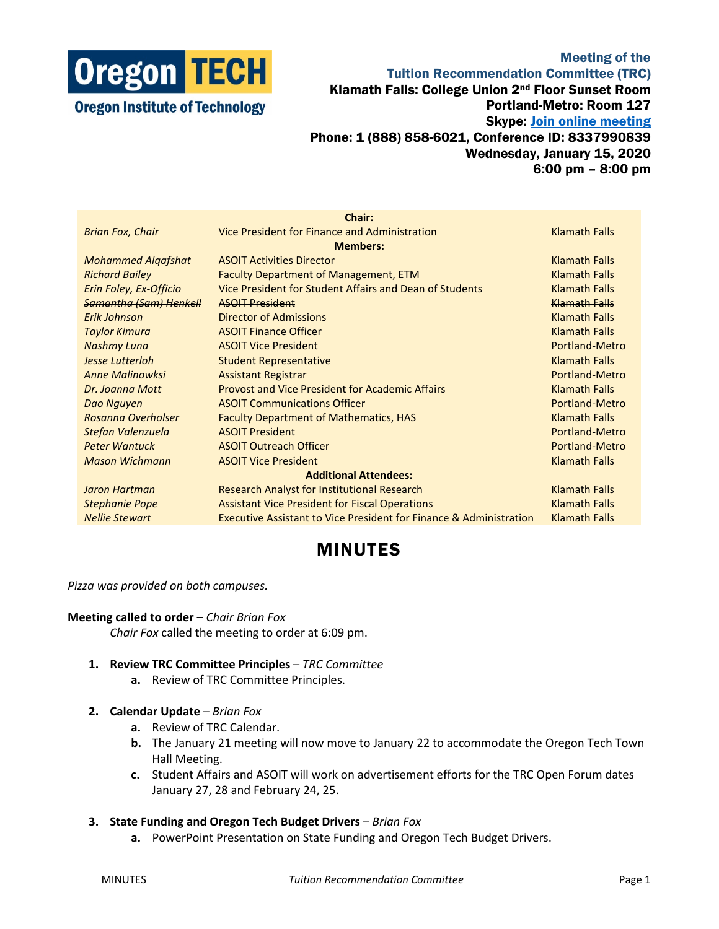

## Meeting of the Tuition Recommendation Committee (TRC) Klamath Falls: College Union 2nd Floor Sunset Room Portland-Metro: Room 127 Skype: [Join online meeting](https://meet.lync.com/oregontech/sunset/PCY0F811) Phone: 1 (888) 858-6021, Conference ID: 8337990839 Wednesday, January 15, 2020 6:00 pm – 8:00 pm

|                               | Chair:                                                                        |                      |
|-------------------------------|-------------------------------------------------------------------------------|----------------------|
| <b>Brian Fox, Chair</b>       | Vice President for Finance and Administration                                 | <b>Klamath Falls</b> |
| <b>Members:</b>               |                                                                               |                      |
| <b>Mohammed Algafshat</b>     | <b>ASOIT Activities Director</b>                                              | <b>Klamath Falls</b> |
| <b>Richard Bailey</b>         | Faculty Department of Management, ETM                                         | <b>Klamath Falls</b> |
| Erin Foley, Ex-Officio        | Vice President for Student Affairs and Dean of Students                       | <b>Klamath Falls</b> |
| <b>Samantha (Sam) Henkell</b> | <b>ASOIT President</b>                                                        | Klamath Falls        |
| <b>Frik Johnson</b>           | <b>Director of Admissions</b>                                                 | <b>Klamath Falls</b> |
| <b>Taylor Kimura</b>          | <b>ASOIT Finance Officer</b>                                                  | <b>Klamath Falls</b> |
| <b>Nashmy Luna</b>            | <b>ASOIT Vice President</b>                                                   | Portland-Metro       |
| Jesse Lutterloh               | <b>Student Representative</b>                                                 | <b>Klamath Falls</b> |
| <b>Anne Malinowksi</b>        | <b>Assistant Registrar</b>                                                    | Portland-Metro       |
| Dr. Joanna Mott               | <b>Provost and Vice President for Academic Affairs</b>                        | <b>Klamath Falls</b> |
| Dao Nguyen                    | <b>ASOIT Communications Officer</b>                                           | Portland-Metro       |
| Rosanna Overholser            | <b>Faculty Department of Mathematics, HAS</b>                                 | <b>Klamath Falls</b> |
| Stefan Valenzuela             | <b>ASOIT President</b>                                                        | Portland-Metro       |
| <b>Peter Wantuck</b>          | <b>ASOIT Outreach Officer</b>                                                 | Portland-Metro       |
| <b>Mason Wichmann</b>         | <b>ASOIT Vice President</b>                                                   | <b>Klamath Falls</b> |
| <b>Additional Attendees:</b>  |                                                                               |                      |
| Jaron Hartman                 | <b>Research Analyst for Institutional Research</b>                            | <b>Klamath Falls</b> |
| <b>Stephanie Pope</b>         | <b>Assistant Vice President for Fiscal Operations</b>                         | <b>Klamath Falls</b> |
| <b>Nellie Stewart</b>         | <b>Executive Assistant to Vice President for Finance &amp; Administration</b> | <b>Klamath Falls</b> |

# MINUTES

### *Pizza was provided on both campuses.*

#### **Meeting called to order** – *Chair Brian Fox*

*Chair Fox* called the meeting to order at 6:09 pm.

- **1. Review TRC Committee Principles** *TRC Committee*
	- **a.** Review of TRC Committee Principles.
- **2. Calendar Update** *Brian Fox*
	- **a.** Review of TRC Calendar.
	- **b.** The January 21 meeting will now move to January 22 to accommodate the Oregon Tech Town Hall Meeting.
	- **c.** Student Affairs and ASOIT will work on advertisement efforts for the TRC Open Forum dates January 27, 28 and February 24, 25.
- **3. State Funding and Oregon Tech Budget Drivers** *Brian Fox*
	- **a.** PowerPoint Presentation on State Funding and Oregon Tech Budget Drivers.